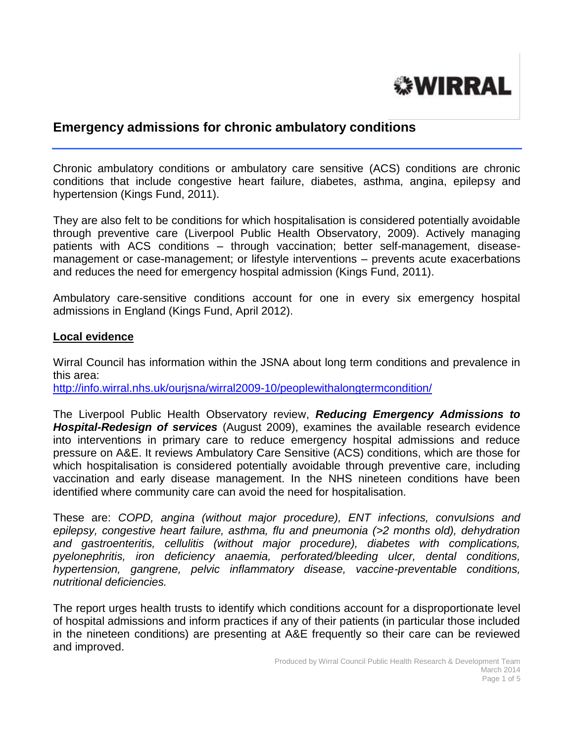# **WIRRAL**

## **Emergency admissions for chronic ambulatory conditions**

Chronic ambulatory conditions or ambulatory care sensitive (ACS) conditions are chronic conditions that include congestive heart failure, diabetes, asthma, angina, epilepsy and hypertension (Kings Fund, 2011).

They are also felt to be conditions for which hospitalisation is considered potentially avoidable through preventive care (Liverpool Public Health Observatory, 2009). Actively managing patients with ACS conditions – through vaccination; better self-management, diseasemanagement or case-management; or lifestyle interventions – prevents acute exacerbations and reduces the need for emergency hospital admission (Kings Fund, 2011).

Ambulatory care-sensitive conditions account for one in every six emergency hospital admissions in England (Kings Fund, April 2012).

#### **Local evidence**

Wirral Council has information within the JSNA about long term conditions and prevalence in this area:

<http://info.wirral.nhs.uk/ourjsna/wirral2009-10/peoplewithalongtermcondition/>

The Liverpool Public Health Observatory review, *Reducing Emergency Admissions to Hospital-Redesign of services* (August 2009), examines the available research evidence into interventions in primary care to reduce emergency hospital admissions and reduce pressure on A&E. It reviews Ambulatory Care Sensitive (ACS) conditions, which are those for which hospitalisation is considered potentially avoidable through preventive care, including vaccination and early disease management. In the NHS nineteen conditions have been identified where community care can avoid the need for hospitalisation.

These are: *COPD, angina (without major procedure), ENT infections, convulsions and epilepsy, congestive heart failure, asthma, flu and pneumonia (>2 months old), dehydration and gastroenteritis, cellulitis (without major procedure), diabetes with complications, pyelonephritis, iron deficiency anaemia, perforated/bleeding ulcer, dental conditions, hypertension, gangrene, pelvic inflammatory disease, vaccine-preventable conditions, nutritional deficiencies.* 

The report urges health trusts to identify which conditions account for a disproportionate level of hospital admissions and inform practices if any of their patients (in particular those included in the nineteen conditions) are presenting at A&E frequently so their care can be reviewed and improved.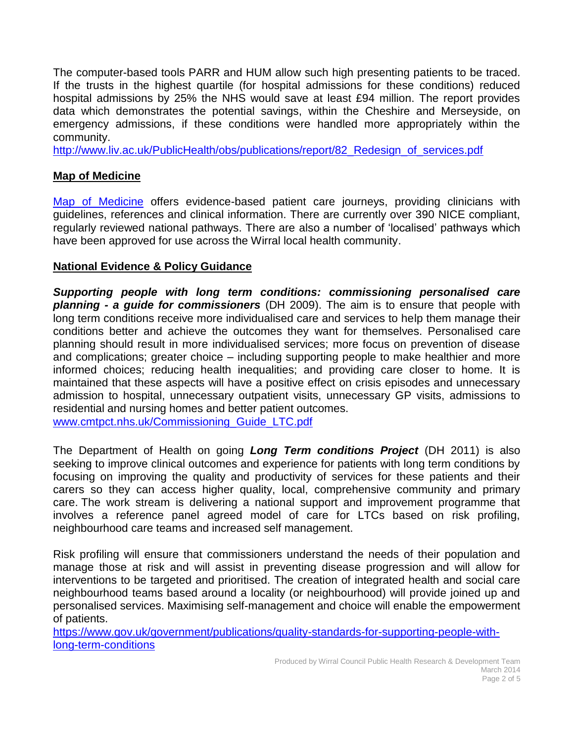The computer-based tools PARR and HUM allow such high presenting patients to be traced. If the trusts in the highest quartile (for hospital admissions for these conditions) reduced hospital admissions by 25% the NHS would save at least £94 million. The report provides data which demonstrates the potential savings, within the Cheshire and Merseyside, on emergency admissions, if these conditions were handled more appropriately within the community.

http://www.liv.ac.uk/PublicHealth/obs/publications/report/82 Redesign of services.pdf

## **Map of Medicine**

[Map of Medicine](http://www.mapofmedicine.com/) offers evidence-based patient care journeys, providing clinicians with guidelines, references and clinical information. There are currently over 390 NICE compliant, regularly reviewed national pathways. There are also a number of 'localised' pathways which have been approved for use across the Wirral local health community.

### **National Evidence & Policy Guidance**

*Supporting people with long term conditions: commissioning personalised care planning - a guide for commissioners* (DH 2009). The aim is to ensure that people with long term conditions receive more individualised care and services to help them manage their conditions better and achieve the outcomes they want for themselves. Personalised care planning should result in more individualised services; more focus on prevention of disease and complications; greater choice – including supporting people to make healthier and more informed choices; reducing health inequalities; and providing care closer to home. It is maintained that these aspects will have a positive effect on crisis episodes and unnecessary admission to hospital, unnecessary outpatient visits, unnecessary GP visits, admissions to residential and nursing homes and better patient outcomes.

[www.cmtpct.nhs.uk/Commissioning\\_Guide\\_LTC.pdf](http://www.cmtpct.nhs.uk/Commissioning_Guide_LTC.pdf)

The Department of Health on going *Long Term conditions Project* (DH 2011) is also seeking to improve clinical outcomes and experience for patients with long term conditions by focusing on improving the quality and productivity of services for these patients and their carers so they can access higher quality, local, comprehensive community and primary care. The work stream is delivering a national support and improvement programme that involves a reference panel agreed model of care for LTCs based on risk profiling, neighbourhood care teams and increased self management.

Risk profiling will ensure that commissioners understand the needs of their population and manage those at risk and will assist in preventing disease progression and will allow for interventions to be targeted and prioritised. The creation of integrated health and social care neighbourhood teams based around a locality (or neighbourhood) will provide joined up and personalised services. Maximising self-management and choice will enable the empowerment of patients.

[https://www.gov.uk/government/publications/quality-standards-for-supporting-people-with](https://www.gov.uk/government/publications/quality-standards-for-supporting-people-with-long-term-conditions)[long-term-conditions](https://www.gov.uk/government/publications/quality-standards-for-supporting-people-with-long-term-conditions)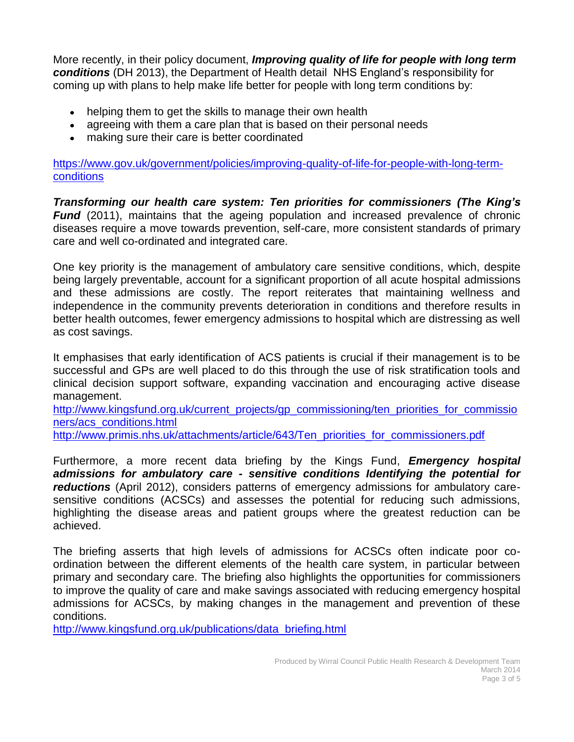More recently, in their policy document, *Improving quality of life for people with long term conditions* (DH 2013), the Department of Health detail NHS England's responsibility for coming up with plans to help make life better for people with long term conditions by:

- helping them to get the skills to manage their own health
- agreeing with them a care plan that is based on their personal needs
- making sure their care is better coordinated

[https://www.gov.uk/government/policies/improving-quality-of-life-for-people-with-long-term](https://www.gov.uk/government/policies/improving-quality-of-life-for-people-with-long-term-conditions)[conditions](https://www.gov.uk/government/policies/improving-quality-of-life-for-people-with-long-term-conditions)

*Transforming our health care system: Ten priorities for commissioners (The King's Fund* (2011), maintains that the ageing population and increased prevalence of chronic diseases require a move towards prevention, self-care, more consistent standards of primary care and well co-ordinated and integrated care.

One key priority is the management of ambulatory care sensitive conditions, which, despite being largely preventable, account for a significant proportion of all acute hospital admissions and these admissions are costly. The report reiterates that maintaining wellness and independence in the community prevents deterioration in conditions and therefore results in better health outcomes, fewer emergency admissions to hospital which are distressing as well as cost savings.

It emphasises that early identification of ACS patients is crucial if their management is to be successful and GPs are well placed to do this through the use of risk stratification tools and clinical decision support software, expanding vaccination and encouraging active disease management.

[http://www.kingsfund.org.uk/current\\_projects/gp\\_commissioning/ten\\_priorities\\_for\\_commissio](http://www.kingsfund.org.uk/current_projects/gp_commissioning/ten_priorities_for_commissioners/acs_conditions.html) [ners/acs\\_conditions.html](http://www.kingsfund.org.uk/current_projects/gp_commissioning/ten_priorities_for_commissioners/acs_conditions.html)

[http://www.primis.nhs.uk/attachments/article/643/Ten\\_priorities\\_for\\_commissioners.pdf](http://www.primis.nhs.uk/attachments/article/643/Ten_priorities_for_commissioners.pdf)

Furthermore, a more recent data briefing by the Kings Fund, *Emergency hospital admissions for ambulatory care - sensitive conditions Identifying the potential for reductions* (April 2012), considers patterns of emergency admissions for ambulatory caresensitive conditions (ACSCs) and assesses the potential for reducing such admissions, highlighting the disease areas and patient groups where the greatest reduction can be achieved.

The briefing asserts that high levels of admissions for ACSCs often indicate poor coordination between the different elements of the health care system, in particular between primary and secondary care. The briefing also highlights the opportunities for commissioners to improve the quality of care and make savings associated with reducing emergency hospital admissions for ACSCs, by making changes in the management and prevention of these conditions.

[http://www.kingsfund.org.uk/publications/data\\_briefing.html](http://www.kingsfund.org.uk/publications/data_briefing.html)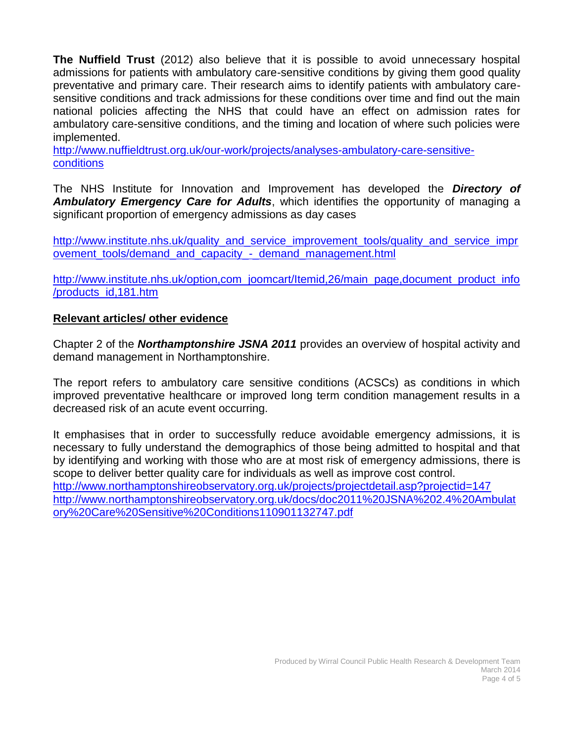**The Nuffield Trust** (2012) also believe that it is possible to avoid unnecessary hospital admissions for patients with ambulatory care-sensitive conditions by giving them good quality preventative and primary care. Their research aims to identify patients with ambulatory caresensitive conditions and track admissions for these conditions over time and find out the main national policies affecting the NHS that could have an effect on admission rates for ambulatory care-sensitive conditions, and the timing and location of where such policies were implemented.

[http://www.nuffieldtrust.org.uk/our-work/projects/analyses-ambulatory-care-sensitive](http://www.nuffieldtrust.org.uk/our-work/projects/analyses-ambulatory-care-sensitive-conditions)[conditions](http://www.nuffieldtrust.org.uk/our-work/projects/analyses-ambulatory-care-sensitive-conditions)

The NHS Institute for Innovation and Improvement has developed the *Directory of Ambulatory Emergency Care for Adults*, which identifies the opportunity of managing a significant proportion of emergency admissions as day cases

http://www.institute.nhs.uk/quality and service improvement tools/quality and service impr ovement tools/demand and capacity - demand management.html

http://www.institute.nhs.uk/option.com\_joomcart/Itemid.26/main\_page.document\_product\_info [/products\\_id,181.htm](http://www.institute.nhs.uk/option,com_joomcart/Itemid,26/main_page,document_product_info/products_id,181.htm)

#### **Relevant articles/ other evidence**

Chapter 2 of the *Northamptonshire JSNA 2011* provides an overview of hospital activity and demand management in Northamptonshire.

The report refers to ambulatory care sensitive conditions (ACSCs) as conditions in which improved preventative healthcare or improved long term condition management results in a decreased risk of an acute event occurring.

It emphasises that in order to successfully reduce avoidable emergency admissions, it is necessary to fully understand the demographics of those being admitted to hospital and that by identifying and working with those who are at most risk of emergency admissions, there is scope to deliver better quality care for individuals as well as improve cost control. <http://www.northamptonshireobservatory.org.uk/projects/projectdetail.asp?projectid=147> [http://www.northamptonshireobservatory.org.uk/docs/doc2011%20JSNA%202.4%20Ambulat](http://www.northamptonshireobservatory.org.uk/docs/doc2011%20JSNA%202.4%20Ambulatory%20Care%20Sensitive%20Conditions110901132747.pdf) [ory%20Care%20Sensitive%20Conditions110901132747.pdf](http://www.northamptonshireobservatory.org.uk/docs/doc2011%20JSNA%202.4%20Ambulatory%20Care%20Sensitive%20Conditions110901132747.pdf)